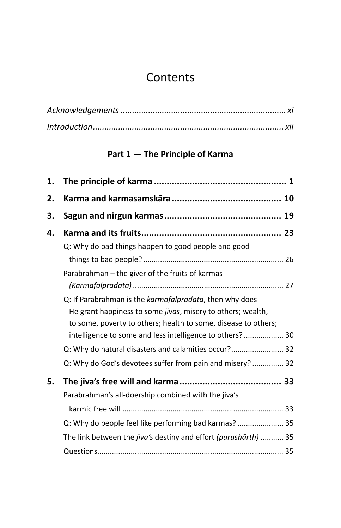## **Contents**

## **Part 1 — The Principle of Karma**

| 1. |                                                                                                                                                                                                  |  |
|----|--------------------------------------------------------------------------------------------------------------------------------------------------------------------------------------------------|--|
| 2. |                                                                                                                                                                                                  |  |
| 3. |                                                                                                                                                                                                  |  |
| 4. |                                                                                                                                                                                                  |  |
|    | Q: Why do bad things happen to good people and good                                                                                                                                              |  |
|    | Parabrahman – the giver of the fruits of karmas                                                                                                                                                  |  |
|    | Q: If Parabrahman is the karmafalpradātā, then why does<br>He grant happiness to some <i>jivas</i> , misery to others; wealth,<br>to some, poverty to others; health to some, disease to others; |  |
|    | intelligence to some and less intelligence to others? 30                                                                                                                                         |  |
|    | Q: Why do natural disasters and calamities occur? 32<br>Q: Why do God's devotees suffer from pain and misery?  32                                                                                |  |
| 5. | Parabrahman's all-doership combined with the jiva's                                                                                                                                              |  |
|    |                                                                                                                                                                                                  |  |
|    | Q: Why do people feel like performing bad karmas?  35                                                                                                                                            |  |
|    | The link between the jiva's destiny and effort (purushārth)  35                                                                                                                                  |  |
|    |                                                                                                                                                                                                  |  |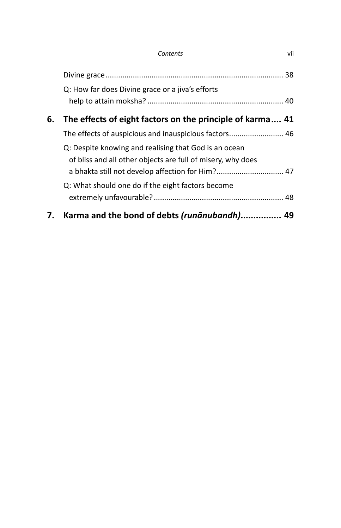|    | Q: How far does Divine grace or a jiva's efforts            |  |
|----|-------------------------------------------------------------|--|
|    |                                                             |  |
| 6. | The effects of eight factors on the principle of karma 41   |  |
|    | The effects of auspicious and inauspicious factors 46       |  |
|    | Q: Despite knowing and realising that God is an ocean       |  |
|    | of bliss and all other objects are full of misery, why does |  |
|    | a bhakta still not develop affection for Him? 47            |  |
|    | Q: What should one do if the eight factors become           |  |
|    |                                                             |  |
| 7. | Karma and the bond of debts (runānubandh) 49                |  |
|    |                                                             |  |

 *Contents* vii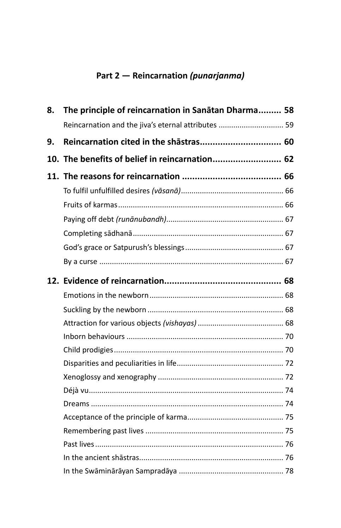## **Part 2 — Reincarnation** *(punarjanma)*

| 8. | The principle of reincarnation in Sanātan Dharma 58 |  |
|----|-----------------------------------------------------|--|
|    | Reincarnation and the jiva's eternal attributes  59 |  |
| 9. |                                                     |  |
|    | 10. The benefits of belief in reincarnation 62      |  |
|    |                                                     |  |
|    |                                                     |  |
|    |                                                     |  |
|    |                                                     |  |
|    |                                                     |  |
|    |                                                     |  |
|    |                                                     |  |
|    |                                                     |  |
|    |                                                     |  |
|    |                                                     |  |
|    |                                                     |  |
|    |                                                     |  |
|    |                                                     |  |
|    |                                                     |  |
|    |                                                     |  |
|    |                                                     |  |
|    |                                                     |  |
|    |                                                     |  |
|    |                                                     |  |
|    |                                                     |  |
|    |                                                     |  |
|    |                                                     |  |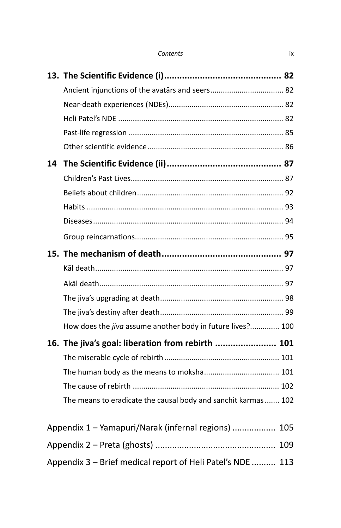| Contents | ÌХ |
|----------|----|
|          |    |

| 14 |                                                                |  |
|----|----------------------------------------------------------------|--|
|    |                                                                |  |
|    |                                                                |  |
|    |                                                                |  |
|    |                                                                |  |
|    |                                                                |  |
|    |                                                                |  |
|    |                                                                |  |
|    |                                                                |  |
|    |                                                                |  |
|    |                                                                |  |
|    | How does the jiva assume another body in future lives? 100     |  |
|    | 16. The jiva's goal: liberation from rebirth  101              |  |
|    |                                                                |  |
|    |                                                                |  |
|    |                                                                |  |
|    | The means to eradicate the causal body and sanchit karmas  102 |  |
|    | Appendix 1 - Yamapuri/Narak (infernal regions)  105            |  |
|    |                                                                |  |
|    |                                                                |  |
|    | Appendix 3 - Brief medical report of Heli Patel's NDE  113     |  |